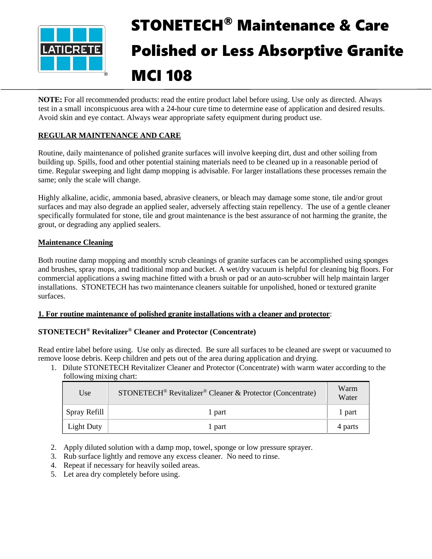

# STONETECH® Maintenance & Care Polished or Less Absorptive Granite MCI 108

**NOTE:** For all recommended products: read the entire product label before using. Use only as directed. Always test in a small inconspicuous area with a 24-hour cure time to determine ease of application and desired results. Avoid skin and eye contact. Always wear appropriate safety equipment during product use.

## **REGULAR MAINTENANCE AND CARE**

Routine, daily maintenance of polished granite surfaces will involve keeping dirt, dust and other soiling from building up. Spills, food and other potential staining materials need to be cleaned up in a reasonable period of time. Regular sweeping and light damp mopping is advisable. For larger installations these processes remain the same; only the scale will change.

Highly alkaline, acidic, ammonia based, abrasive cleaners, or bleach may damage some stone, tile and/or grout surfaces and may also degrade an applied sealer, adversely affecting stain repellency. The use of a gentle cleaner specifically formulated for stone, tile and grout maintenance is the best assurance of not harming the granite, the grout, or degrading any applied sealers.

## **Maintenance Cleaning**

Both routine damp mopping and monthly scrub cleanings of granite surfaces can be accomplished using sponges and brushes, spray mops, and traditional mop and bucket. A wet/dry vacuum is helpful for cleaning big floors. For commercial applications a swing machine fitted with a brush or pad or an auto-scrubber will help maintain larger installations. STONETECH has two maintenance cleaners suitable for unpolished, honed or textured granite surfaces.

#### **1. For routine maintenance of polished granite installations with a cleaner and protector**:

## **STONETECH® Revitalizer® Cleaner and Protector (Concentrate)**

Read entire label before using. Use only as directed. Be sure all surfaces to be cleaned are swept or vacuumed to remove loose debris. Keep children and pets out of the area during application and drying.

1. Dilute STONETECH Revitalizer Cleaner and Protector (Concentrate) with warm water according to the following mixing chart:

| Use               | STONETECH <sup>®</sup> Revitalizer <sup>®</sup> Cleaner & Protector (Concentrate) | Warm<br>Water |
|-------------------|-----------------------------------------------------------------------------------|---------------|
| Spray Refill      | 1 part                                                                            | l part        |
| <b>Light Duty</b> | 1 part                                                                            | 4 parts       |

- 2. Apply diluted solution with a damp mop, towel, sponge or low pressure sprayer.
- 3. Rub surface lightly and remove any excess cleaner. No need to rinse.
- 4. Repeat if necessary for heavily soiled areas.
- 5. Let area dry completely before using.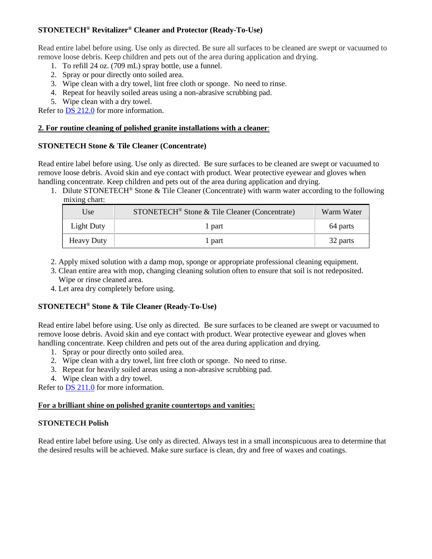## **STONETECH® Revitalizer® Cleaner and Protector (Ready-To-Use)**

Read entire label before using. Use only as directed. Be sure all surfaces to be cleaned are swept or vacuumed to remove loose debris. Keep children and pets out of the area during application and drying.

- 1. To refill 24 oz. (709 mL) spray bottle, use a funnel.
- 2. Spray or pour directly onto soiled area.
- 3. Wipe clean with a dry towel, lint free cloth or sponge. No need to rinse.
- 4. Repeat for heavily soiled areas using a non-abrasive scrubbing pad.
- 5. Wipe clean with a dry towel.

Refer to [DS 212.0](https://cdn.laticrete.com/~/media/product-documents/product-data-sheets/ds-212.ashx) for more information.

#### **2. For routine cleaning of polished granite installations with a cleaner**:

#### **STONETECH Stone & Tile Cleaner (Concentrate)**

Read entire label before using. Use only as directed. Be sure surfaces to be cleaned are swept or vacuumed to remove loose debris. Avoid skin and eye contact with product. Wear protective eyewear and gloves when handling concentrate. Keep children and pets out of the area during application and drying.

1. Dilute STONETECH® Stone & Tile Cleaner (Concentrate) with warm water according to the following mixing chart:

| Use               | STONETECH <sup>®</sup> Stone & Tile Cleaner (Concentrate) | Warm Water |
|-------------------|-----------------------------------------------------------|------------|
| Light Duty        | l part                                                    | 64 parts   |
| <b>Heavy Duty</b> | l part                                                    | 32 parts   |

- 2. Apply mixed solution with a damp mop, sponge or appropriate professional cleaning equipment.
- 3. Clean entire area with mop, changing cleaning solution often to ensure that soil is not redeposited. Wipe or rinse cleaned area.
- 4. Let area dry completely before using.

## **STONETECH® Stone & Tile Cleaner (Ready-To-Use)**

Read entire label before using. Use only as directed. Be sure surfaces to be cleaned are swept or vacuumed to remove loose debris. Avoid skin and eye contact with product. Wear protective eyewear and gloves when handling concentrate. Keep children and pets out of the area during application and drying.

- 1. Spray or pour directly onto soiled area.
- 2. Wipe clean with a dry towel, lint free cloth or sponge. No need to rinse.
- 3. Repeat for heavily soiled areas using a non-abrasive scrubbing pad.
- 4. Wipe clean with a dry towel.

Refer to **DS 211.0** for more information.

#### **For a brilliant shine on polished granite countertops and vanities:**

#### **STONETECH Polish**

Read entire label before using. Use only as directed. Always test in a small inconspicuous area to determine that the desired results will be achieved. Make sure surface is clean, dry and free of waxes and coatings.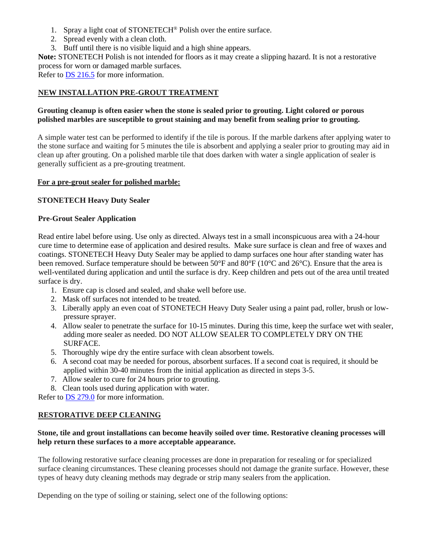- 1. Spray a light coat of STONETECH® Polish over the entire surface.
- 2. Spread evenly with a clean cloth.
- 3. Buff until there is no visible liquid and a high shine appears.

**Note:** STONETECH Polish is not intended for floors as it may create a slipping hazard. It is not a restorative process for worn or damaged marble surfaces.

Refer to [DS 216.5](https://cdn.laticrete.com/~/media/product-documents/product-data-sheets/ds-2165.ashx) for more information.

#### **NEW INSTALLATION PRE-GROUT TREATMENT**

#### **Grouting cleanup is often easier when the stone is sealed prior to grouting. Light colored or porous polished marbles are susceptible to grout staining and may benefit from sealing prior to grouting.**

A simple water test can be performed to identify if the tile is porous. If the marble darkens after applying water to the stone surface and waiting for 5 minutes the tile is absorbent and applying a sealer prior to grouting may aid in clean up after grouting. On a polished marble tile that does darken with water a single application of sealer is generally sufficient as a pre-grouting treatment.

#### **For a pre-grout sealer for polished marble:**

#### **STONETECH Heavy Duty Sealer**

#### **Pre-Grout Sealer Application**

Read entire label before using. Use only as directed. Always test in a small inconspicuous area with a 24-hour cure time to determine ease of application and desired results. Make sure surface is clean and free of waxes and coatings. STONETECH Heavy Duty Sealer may be applied to damp surfaces one hour after standing water has been removed. Surface temperature should be between 50°F and 80°F (10°C and 26°C). Ensure that the area is well-ventilated during application and until the surface is dry. Keep children and pets out of the area until treated surface is dry.

- 1. Ensure cap is closed and sealed, and shake well before use.
- 2. Mask off surfaces not intended to be treated.
- 3. Liberally apply an even coat of STONETECH Heavy Duty Sealer using a paint pad, roller, brush or lowpressure sprayer.
- 4. Allow sealer to penetrate the surface for 10-15 minutes. During this time, keep the surface wet with sealer, adding more sealer as needed. DO NOT ALLOW SEALER TO COMPLETELY DRY ON THE SURFACE.
- 5. Thoroughly wipe dry the entire surface with clean absorbent towels.
- 6. A second coat may be needed for porous, absorbent surfaces. If a second coat is required, it should be applied within 30-40 minutes from the initial application as directed in steps 3-5.
- 7. Allow sealer to cure for 24 hours prior to grouting.
- 8. Clean tools used during application with water.

Refer to [DS 279.0](https://cdn.laticrete.com/~/media/product-documents/product-data-sheets/ds-279.ashx) for more information.

## **RESTORATIVE DEEP CLEANING**

#### **Stone, tile and grout installations can become heavily soiled over time. Restorative cleaning processes will help return these surfaces to a more acceptable appearance.**

The following restorative surface cleaning processes are done in preparation for resealing or for specialized surface cleaning circumstances. These cleaning processes should not damage the granite surface. However, these types of heavy duty cleaning methods may degrade or strip many sealers from the application.

Depending on the type of soiling or staining, select one of the following options: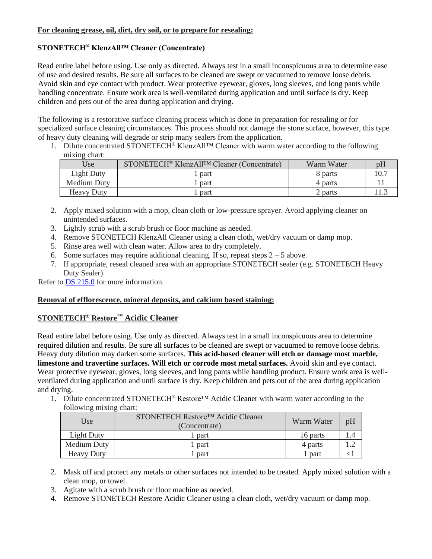## **STONETECH® KlenzAll™ Cleaner (Concentrate)**

Read entire label before using. Use only as directed. Always test in a small inconspicuous area to determine ease of use and desired results. Be sure all surfaces to be cleaned are swept or vacuumed to remove loose debris. Avoid skin and eye contact with product. Wear protective eyewear, gloves, long sleeves, and long pants while handling concentrate. Ensure work area is well-ventilated during application and until surface is dry. Keep children and pets out of the area during application and drying.

The following is a restorative surface cleaning process which is done in preparation for resealing or for specialized surface cleaning circumstances. This process should not damage the stone surface, however, this type of heavy duty cleaning will degrade or strip many sealers from the application.

1. Dilute concentrated STONETECH® KlenzAll™ Cleaner with warm water according to the following mixing chart:

| Use                | STONETECH <sup>®</sup> KlenzAll <sup>TM</sup> Cleaner (Concentrate) | Warm Water |  |
|--------------------|---------------------------------------------------------------------|------------|--|
| Light Duty         | part                                                                | 8 parts    |  |
| <b>Medium Duty</b> | part                                                                | 4 parts    |  |
| <b>Heavy Duty</b>  | part                                                                | 2 parts    |  |

- 2. Apply mixed solution with a mop, clean cloth or low-pressure sprayer. Avoid applying cleaner on unintended surfaces.
- 3. Lightly scrub with a scrub brush or floor machine as needed.
- 4. Remove STONETECH KlenzAll Cleaner using a clean cloth, wet/dry vacuum or damp mop.
- 5. Rinse area well with clean water. Allow area to dry completely.
- 6. Some surfaces may require additional cleaning. If so, repeat steps  $2 5$  above.
- 7. If appropriate, reseal cleaned area with an appropriate STONETECH sealer (e.g. STONETECH Heavy Duty Sealer).

Refer to **DS 215.0** for more information.

#### **Removal of efflorescence, mineral deposits, and calcium based staining:**

## **STONETECH® Restore™ Acidic Cleaner**

Read entire label before using. Use only as directed. Always test in a small inconspicuous area to determine required dilution and results. Be sure all surfaces to be cleaned are swept or vacuumed to remove loose debris. Heavy duty dilution may darken some surfaces. **This acid-based cleaner will etch or damage most marble, limestone and travertine surfaces. Will etch or corrode most metal surfaces.** Avoid skin and eye contact. Wear protective eyewear, gloves, long sleeves, and long pants while handling product. Ensure work area is wellventilated during application and until surface is dry. Keep children and pets out of the area during application and drying.

1. Dilute concentrated STONETECH® Restore™ Acidic Cleaner with warm water according to the following mixing chart:

| Use               | STONETECH Restore™ Acidic Cleaner<br>Warm Water<br>(Concentrate) |          | pH  |
|-------------------|------------------------------------------------------------------|----------|-----|
| Light Duty        | part                                                             | 16 parts | 1.4 |
| Medium Duty       | part                                                             | 4 parts  |     |
| <b>Heavy Duty</b> | part                                                             | part     |     |

- 2. Mask off and protect any metals or other surfaces not intended to be treated. Apply mixed solution with a clean mop, or towel.
- 3. Agitate with a scrub brush or floor machine as needed.
- 4. Remove STONETECH Restore Acidic Cleaner using a clean cloth, wet/dry vacuum or damp mop.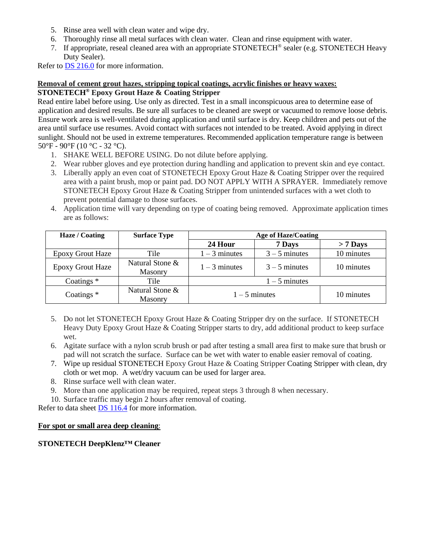- 5. Rinse area well with clean water and wipe dry.
- 6. Thoroughly rinse all metal surfaces with clean water. Clean and rinse equipment with water.
- 7. If appropriate, reseal cleaned area with an appropriate STONETECH® sealer (e.g. STONETECH Heavy Duty Sealer).

Refer to **DS** 216.0 for more information.

#### **Removal of cement grout hazes, stripping topical coatings, acrylic finishes or heavy waxes:**

#### **STONETECH® Epoxy Grout Haze & Coating Stripper**

Read entire label before using. Use only as directed. Test in a small inconspicuous area to determine ease of application and desired results. Be sure all surfaces to be cleaned are swept or vacuumed to remove loose debris. Ensure work area is well-ventilated during application and until surface is dry. Keep children and pets out of the area until surface use resumes. Avoid contact with surfaces not intended to be treated. Avoid applying in direct sunlight. Should not be used in extreme temperatures. Recommended application temperature range is between 50°F - 90°F (10 °C - 32 °C).

- 1. SHAKE WELL BEFORE USING. Do not dilute before applying.
- 2. Wear rubber gloves and eye protection during handling and application to prevent skin and eye contact.
- 3. Liberally apply an even coat of STONETECH Epoxy Grout Haze & Coating Stripper over the required area with a paint brush, mop or paint pad. DO NOT APPLY WITH A SPRAYER. Immediately remove STONETECH Epoxy Grout Haze & Coating Stripper from unintended surfaces with a wet cloth to prevent potential damage to those surfaces.
- 4. Application time will vary depending on type of coating being removed. Approximate application times are as follows:

| Haze / Coating          | <b>Surface Type</b>               | <b>Age of Haze/Coating</b> |                 |            |
|-------------------------|-----------------------------------|----------------------------|-----------------|------------|
|                         |                                   | 24 Hour                    | 7 Days          | $> 7$ Days |
| <b>Epoxy Grout Haze</b> | Tile                              | $1 - 3$ minutes            | $3 - 5$ minutes | 10 minutes |
| <b>Epoxy Grout Haze</b> | Natural Stone &<br>Masonry        | $1 - 3$ minutes            | $3 - 5$ minutes | 10 minutes |
| Coatings $*$            | Tile                              | $1 - 5$ minutes            |                 |            |
| Coatings $*$            | Natural Stone &<br><b>Masonry</b> | $1-5$ minutes              |                 | 10 minutes |

- 5. Do not let STONETECH Epoxy Grout Haze & Coating Stripper dry on the surface. If STONETECH Heavy Duty Epoxy Grout Haze & Coating Stripper starts to dry, add additional product to keep surface wet.
- 6. Agitate surface with a nylon scrub brush or pad after testing a small area first to make sure that brush or pad will not scratch the surface. Surface can be wet with water to enable easier removal of coating.
- 7. Wipe up residual STONETECH Epoxy Grout Haze & Coating Stripper Coating Stripper with clean, dry cloth or wet mop. A wet/dry vacuum can be used for larger area.
- 8. Rinse surface well with clean water.
- 9. More than one application may be required, repeat steps 3 through 8 when necessary.
- 10. Surface traffic may begin 2 hours after removal of coating.

Refer to data sheet [DS 116.4](https://cdn.laticrete.com/~/media/product-documents/product-data-sheets/ds1664_stonetech-epoxy-grout-haze-coating-stripper.ashx) for more information.

#### **For spot or small area deep cleaning**:

#### **STONETECH DeepKlenz™ Cleaner**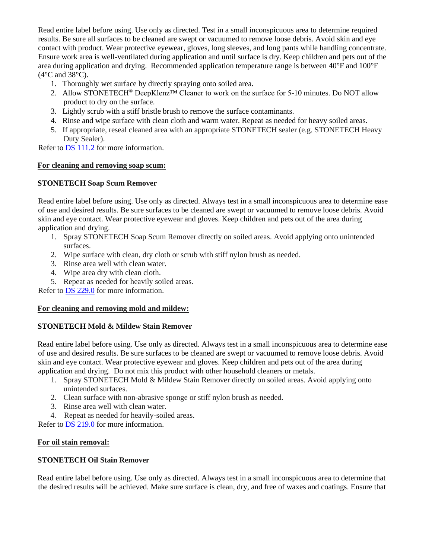Read entire label before using. Use only as directed. Test in a small inconspicuous area to determine required results. Be sure all surfaces to be cleaned are swept or vacuumed to remove loose debris. Avoid skin and eye contact with product. Wear protective eyewear, gloves, long sleeves, and long pants while handling concentrate. Ensure work area is well-ventilated during application and until surface is dry. Keep children and pets out of the area during application and drying. Recommended application temperature range is between 40°F and 100°F  $(4^{\circ}$ C and  $38^{\circ}$ C).

- 1. Thoroughly wet surface by directly spraying onto soiled area.
- 2. Allow STONETECH® DeepKlenz™ Cleaner to work on the surface for 5-10 minutes. Do NOT allow product to dry on the surface.
- 3. Lightly scrub with a stiff bristle brush to remove the surface contaminants.
- 4. Rinse and wipe surface with clean cloth and warm water. Repeat as needed for heavy soiled areas.
- 5. If appropriate, reseal cleaned area with an appropriate STONETECH sealer (e.g. STONETECH Heavy Duty Sealer).

Refer to **DS** 111.2 for more information.

#### **For cleaning and removing soap scum:**

#### **STONETECH Soap Scum Remover**

Read entire label before using. Use only as directed. Always test in a small inconspicuous area to determine ease of use and desired results. Be sure surfaces to be cleaned are swept or vacuumed to remove loose debris. Avoid skin and eye contact. Wear protective eyewear and gloves. Keep children and pets out of the area during application and drying.

- 1. Spray STONETECH Soap Scum Remover directly on soiled areas. Avoid applying onto unintended surfaces.
- 2. Wipe surface with clean, dry cloth or scrub with stiff nylon brush as needed.
- 3. Rinse area well with clean water.
- 4. Wipe area dry with clean cloth.
- 5. Repeat as needed for heavily soiled areas.

Refer to [DS 229.0](https://cdn.laticrete.com/~/media/product-documents/product-data-sheets/ds-229.ashx) for more information.

#### **For cleaning and removing mold and mildew:**

#### **STONETECH Mold & Mildew Stain Remover**

Read entire label before using. Use only as directed. Always test in a small inconspicuous area to determine ease of use and desired results. Be sure surfaces to be cleaned are swept or vacuumed to remove loose debris. Avoid skin and eye contact. Wear protective eyewear and gloves. Keep children and pets out of the area during application and drying. Do not mix this product with other household cleaners or metals.

- 1. Spray STONETECH Mold & Mildew Stain Remover directly on soiled areas. Avoid applying onto unintended surfaces.
- 2. Clean surface with non-abrasive sponge or stiff nylon brush as needed.
- 3. Rinse area well with clean water.
- 4. Repeat as needed for heavily-soiled areas.

Refer to [DS 219.0](https://cdn.laticrete.com/~/media/product-documents/product-data-sheets/ds-219.ashx) for more information.

#### **For oil stain removal:**

#### **STONETECH Oil Stain Remover**

Read entire label before using. Use only as directed. Always test in a small inconspicuous area to determine that the desired results will be achieved. Make sure surface is clean, dry, and free of waxes and coatings. Ensure that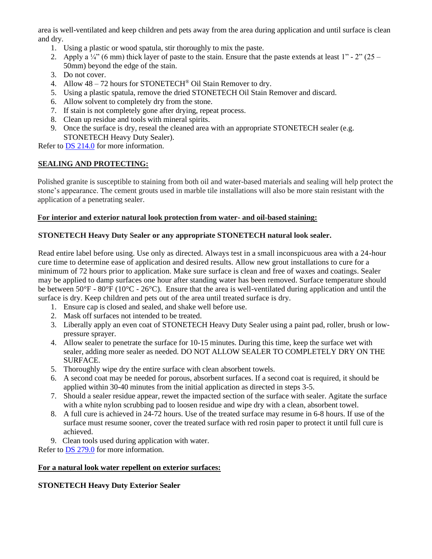area is well-ventilated and keep children and pets away from the area during application and until surface is clean and dry.

- 1. Using a plastic or wood spatula, stir thoroughly to mix the paste.
- 2. Apply a  $\frac{1}{4}$  (6 mm) thick layer of paste to the stain. Ensure that the paste extends at least 1" 2" (25 50mm) beyond the edge of the stain.
- 3. Do not cover.
- 4. Allow 48 72 hours for STONETECH® Oil Stain Remover to dry.
- 5. Using a plastic spatula, remove the dried STONETECH Oil Stain Remover and discard.
- 6. Allow solvent to completely dry from the stone.
- 7. If stain is not completely gone after drying, repeat process.
- 8. Clean up residue and tools with mineral spirits.
- 9. Once the surface is dry, reseal the cleaned area with an appropriate STONETECH sealer (e.g. STONETECH Heavy Duty Sealer).

Refer to [DS 214.0](https://cdn.laticrete.com/~/media/product-documents/product-data-sheets/ds-214.ashx) for more information.

#### **SEALING AND PROTECTING:**

Polished granite is susceptible to staining from both oil and water-based materials and sealing will help protect the stone's appearance. The cement grouts used in marble tile installations will also be more stain resistant with the application of a penetrating sealer.

#### **For interior and exterior natural look protection from water- and oil-based staining:**

#### **STONETECH Heavy Duty Sealer or any appropriate STONETECH natural look sealer.**

Read entire label before using. Use only as directed. Always test in a small inconspicuous area with a 24-hour cure time to determine ease of application and desired results. Allow new grout installations to cure for a minimum of 72 hours prior to application. Make sure surface is clean and free of waxes and coatings. Sealer may be applied to damp surfaces one hour after standing water has been removed. Surface temperature should be between 50°F - 80°F (10°C - 26°C). Ensure that the area is well-ventilated during application and until the surface is dry. Keep children and pets out of the area until treated surface is dry.

- 1. Ensure cap is closed and sealed, and shake well before use.
- 2. Mask off surfaces not intended to be treated.
- 3. Liberally apply an even coat of STONETECH Heavy Duty Sealer using a paint pad, roller, brush or lowpressure sprayer.
- 4. Allow sealer to penetrate the surface for 10-15 minutes. During this time, keep the surface wet with sealer, adding more sealer as needed. DO NOT ALLOW SEALER TO COMPLETELY DRY ON THE SURFACE.
- 5. Thoroughly wipe dry the entire surface with clean absorbent towels.
- 6. A second coat may be needed for porous, absorbent surfaces. If a second coat is required, it should be applied within 30-40 minutes from the initial application as directed in steps 3-5.
- 7. Should a sealer residue appear, rewet the impacted section of the surface with sealer. Agitate the surface with a white nylon scrubbing pad to loosen residue and wipe dry with a clean, absorbent towel.
- 8. A full cure is achieved in 24-72 hours. Use of the treated surface may resume in 6-8 hours. If use of the surface must resume sooner, cover the treated surface with red rosin paper to protect it until full cure is achieved.
- 9. Clean tools used during application with water.

Refer to [DS 279.0](https://cdn.laticrete.com/~/media/product-documents/product-data-sheets/ds-279.ashx) for more information.

#### **For a natural look water repellent on exterior surfaces:**

## **STONETECH Heavy Duty Exterior Sealer**